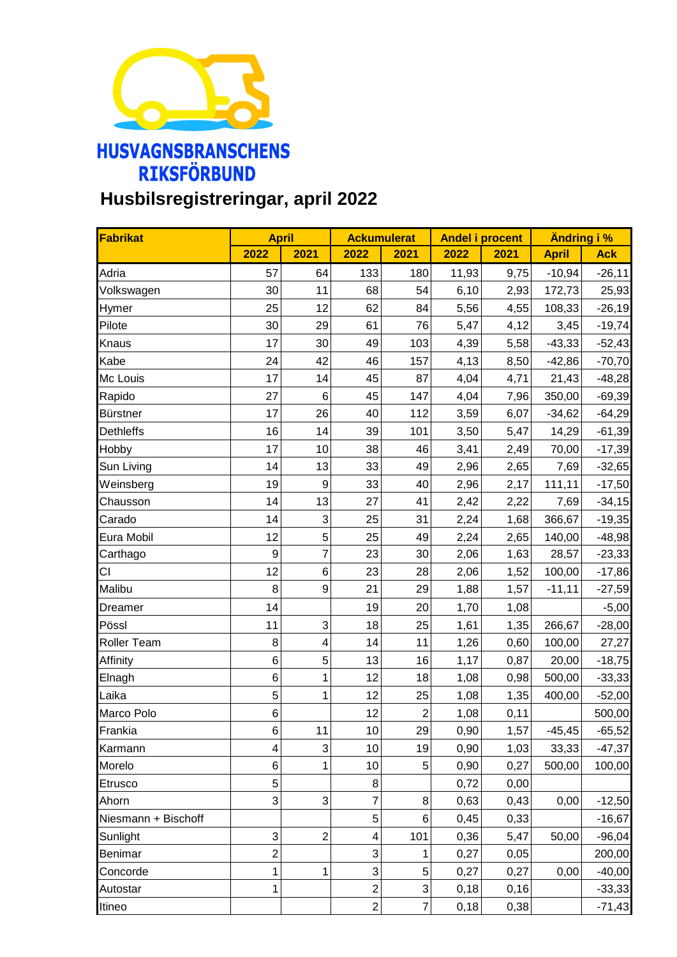

## **Husbilsregistreringar, april 2022**

| Fabrikat            | <b>April</b>   |                  | <b>Ackumulerat</b>      |                 | <b>Andel i procent</b> |       | <b>Ändring i %</b> |            |
|---------------------|----------------|------------------|-------------------------|-----------------|------------------------|-------|--------------------|------------|
|                     | 2022           | 2021             | 2022                    | 2021            | 2022                   | 2021  | <b>April</b>       | <b>Ack</b> |
| Adria               | 57             | 64               | 133                     | 180             | 11,93                  | 9,75  | $-10,94$           | $-26,11$   |
| Volkswagen          | 30             | 11               | 68                      | 54              | 6,10                   | 2,93  | 172,73             | 25,93      |
| Hymer               | 25             | 12               | 62                      | 84              | 5,56                   | 4,55  | 108,33             | $-26,19$   |
| Pilote              | 30             | 29               | 61                      | 76              | 5,47                   | 4,12  | 3,45               | $-19,74$   |
| Knaus               | 17             | 30               | 49                      | 103             | 4,39                   | 5,58  | $-43,33$           | $-52,43$   |
| Kabe                | 24             | 42               | 46                      | 157             | 4,13                   | 8,50  | $-42,86$           | $-70,70$   |
| Mc Louis            | 17             | 14               | 45                      | 87              | 4,04                   | 4,71  | 21,43              | $-48,28$   |
| Rapido              | 27             | 6                | 45                      | 147             | 4,04                   | 7,96  | 350,00             | $-69,39$   |
| <b>Bürstner</b>     | 17             | 26               | 40                      | 112             | 3,59                   | 6,07  | $-34,62$           | $-64,29$   |
| <b>Dethleffs</b>    | 16             | 14               | 39                      | 101             | 3,50                   | 5,47  | 14,29              | $-61,39$   |
| Hobby               | 17             | 10               | 38                      | 46              | 3,41                   | 2,49  | 70,00              | $-17,39$   |
| Sun Living          | 14             | 13               | 33                      | 49              | 2,96                   | 2,65  | 7,69               | $-32,65$   |
| Weinsberg           | 19             | $\boldsymbol{9}$ | 33                      | 40              | 2,96                   | 2,17  | 111,11             | $-17,50$   |
| Chausson            | 14             | 13               | 27                      | 41              | 2,42                   | 2,22  | 7,69               | $-34,15$   |
| Carado              | 14             | 3                | 25                      | 31              | 2,24                   | 1,68  | 366,67             | $-19,35$   |
| Eura Mobil          | 12             | 5                | 25                      | 49              | 2,24                   | 2,65  | 140,00             | $-48,98$   |
| Carthago            | 9              | $\overline{7}$   | 23                      | 30 <sup>°</sup> | 2,06                   | 1,63  | 28,57              | $-23,33$   |
| СI                  | 12             | $\,6$            | 23                      | 28              | 2,06                   | 1,52  | 100,00             | $-17,86$   |
| Malibu              | 8              | 9                | 21                      | 29              | 1,88                   | 1,57  | $-11,11$           | $-27,59$   |
| Dreamer             | 14             |                  | 19                      | 20              | 1,70                   | 1,08  |                    | $-5,00$    |
| Pössl               | 11             | 3                | 18                      | 25              | 1,61                   | 1,35  | 266,67             | $-28,00$   |
| Roller Team         | 8              | 4                | 14                      | 11              | 1,26                   | 0,60  | 100,00             | 27,27      |
| Affinity            | 6              | 5                | 13                      | 16              | 1,17                   | 0,87  | 20,00              | $-18,75$   |
| Elnagh              | 6              | 1                | 12                      | 18              | 1,08                   | 0,98  | 500,00             | $-33,33$   |
| Laika               | 5              | $\mathbf{1}$     | 12                      | 25              | 1,08                   | 1,35  | 400,00             | $-52,00$   |
| Marco Polo          | 6              |                  | 12                      | $\mathbf{2}$    | 1,08                   | 0,11  |                    | 500,00     |
| Frankia             | 6              | 11               | 10                      | 29              | 0,90                   | 1,57  | $-45,45$           | $-65,52$   |
| Karmann             | 4              | 3                | 10                      | 19              | 0,90                   | 1,03  | 33,33              | $-47,37$   |
| Morelo              | 6              | 1                | 10                      | 5               | 0,90                   | 0,27  | 500,00             | 100,00     |
| Etrusco             | 5              |                  | 8                       |                 | 0,72                   | 0,00  |                    |            |
| Ahorn               | 3              | 3                | 7                       | 8               | 0,63                   | 0,43  | 0,00               | $-12,50$   |
| Niesmann + Bischoff |                |                  | 5                       | 6 <sup>1</sup>  | 0,45                   | 0,33  |                    | $-16,67$   |
| Sunlight            | 3              | $\overline{c}$   | $\overline{\mathbf{4}}$ | 101             | 0,36                   | 5,47  | 50,00              | $-96,04$   |
| Benimar             | $\overline{c}$ |                  | 3                       | 1               | 0,27                   | 0,05  |                    | 200,00     |
| Concorde            | 1              | 1                | 3                       | 5               | 0,27                   | 0,27  | 0,00               | $-40,00$   |
| Autostar            | 1              |                  | $\overline{2}$          | $\mathbf{3}$    | 0,18                   | 0, 16 |                    | $-33,33$   |
| Itineo              |                |                  | $\overline{2}$          | $\overline{7}$  | 0,18                   | 0,38  |                    | $-71,43$   |